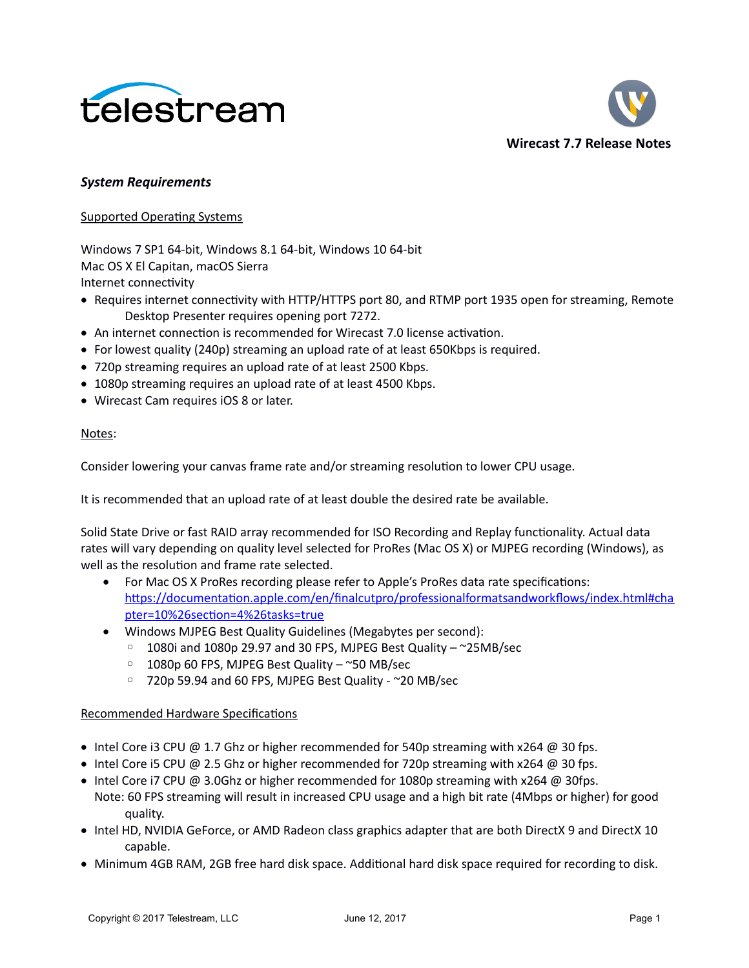



#### *System Requirements*

#### Supported Operating Systems

Windows 7 SP1 64-bit, Windows 8.1 64-bit, Windows 10 64-bit Mac OS X El Capitan, macOS Sierra Internet connectivity

- Requires internet connectivity with HTTP/HTTPS port 80, and RTMP port 1935 open for streaming, Remote Desktop Presenter requires opening port 7272.
- An internet connection is recommended for Wirecast 7.0 license activation.
- For lowest quality (240p) streaming an upload rate of at least 650Kbps is required.
- 720p streaming requires an upload rate of at least 2500 Kbps.
- 1080p streaming requires an upload rate of at least 4500 Kbps.
- Wirecast Cam requires iOS 8 or later.

#### Notes:

Consider lowering your canvas frame rate and/or streaming resolution to lower CPU usage.

It is recommended that an upload rate of at least double the desired rate be available.

Solid State Drive or fast RAID array recommended for ISO Recording and Replay functionality. Actual data rates will vary depending on quality level selected for ProRes (Mac OS X) or MJPEG recording (Windows), as well as the resolution and frame rate selected.

- For Mac OS X ProRes recording please refer to Apple's ProRes data rate specifications: [https://documentation.apple.com/en/finalcutpro/professionalformatsandworkflows/index.html#cha](https://documentation.apple.com/en/finalcutpro/professionalformatsandworkflows/index.html#chapter=10%26section=4%26tasks=true) [pter=10%26section=4%26tasks=true](https://documentation.apple.com/en/finalcutpro/professionalformatsandworkflows/index.html#chapter=10%26section=4%26tasks=true)
- Windows MJPEG Best Quality Guidelines (Megabytes per second):
	- 1080i and 1080p 29.97 and 30 FPS, MJPEG Best Quality ~25MB/sec
	- 1080p 60 FPS, MJPEG Best Quality ~50 MB/sec
	- 720p 59.94 and 60 FPS, MJPEG Best Quality ~20 MB/sec

#### Recommended Hardware Specifications

- Intel Core i3 CPU @ 1.7 Ghz or higher recommended for 540p streaming with  $x264$  @ 30 fps.
- Intel Core i5 CPU @ 2.5 Ghz or higher recommended for 720p streaming with  $x264$  @ 30 fps.
- $\bullet$  Intel Core i7 CPU @ 3.0Ghz or higher recommended for 1080p streaming with x264 @ 30fps. Note: 60 FPS streaming will result in increased CPU usage and a high bit rate (4Mbps or higher) for good quality.
- Intel HD, NVIDIA GeForce, or AMD Radeon class graphics adapter that are both DirectX 9 and DirectX 10 capable.
- Minimum 4GB RAM, 2GB free hard disk space. Additional hard disk space required for recording to disk.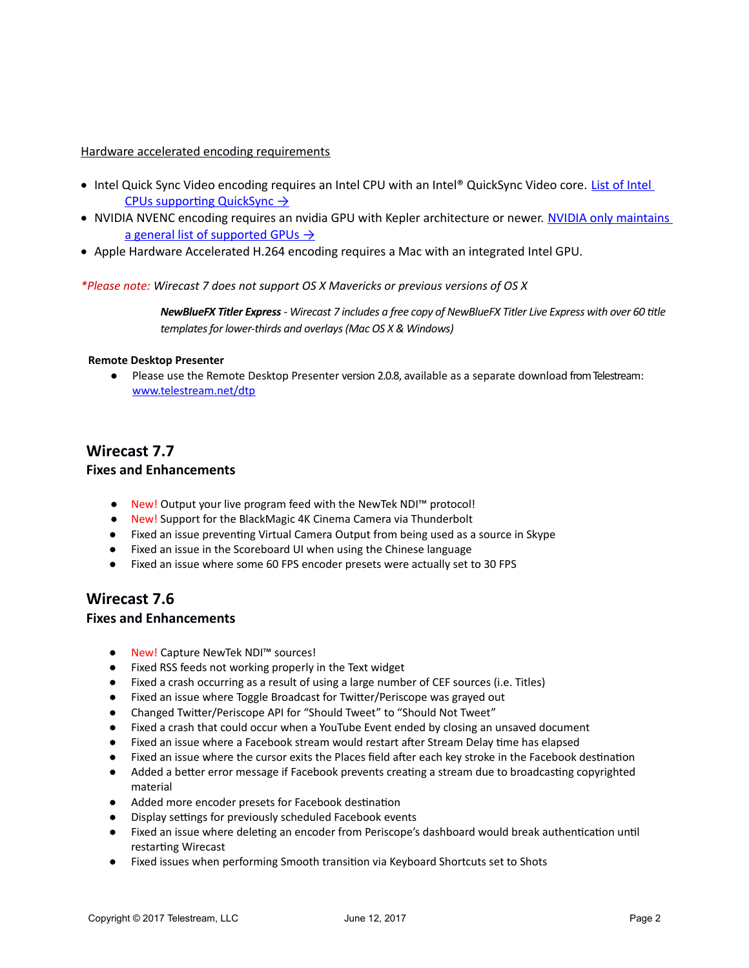#### Hardware accelerated encoding requirements

- Intel Quick Sync Video encoding requires an Intel CPU with an Intel® QuickSync Video core. List of Intel CPUs supporting QuickSync  $\rightarrow$
- . NVIDIA NVENC encoding requires an nvidia GPU with Kepler architecture or newer. NVIDIA only maintains a general list of supported GPUs  $\rightarrow$
- Apple Hardware Accelerated H.264 encoding requires a Mac with an integrated Intel GPU.

*\*Please note: Wirecast 7 does not support OS X Mavericks or previous versions of OS X*

*NewBlueFX Titler Express - Wirecast 7 includes a free copy of NewBlueFX Titler Live Express with over 60 title templates for lower-thirds and overlays (Mac OS X & Windows)*

#### **Remote Desktop Presenter**

● Please use the Remote Desktop Presenter version 2.0.8, available as a separate download from Telestream: www.telestream.net/dtp

## **Wirecast 7.7**

#### **Fixes and Enhancements**

- New! Output your live program feed with the NewTek NDI<sup>™</sup> protocol!
- New! Support for the BlackMagic 4K Cinema Camera via Thunderbolt
- Fixed an issue preventing Virtual Camera Output from being used as a source in Skype
- Fixed an issue in the Scoreboard UI when using the Chinese language
- Fixed an issue where some 60 FPS encoder presets were actually set to 30 FPS

## **Wirecast 7.6**

#### **Fixes and Enhancements**

- New! Capture NewTek NDI™ sources!
- Fixed RSS feeds not working properly in the Text widget
- Fixed a crash occurring as a result of using a large number of CEF sources (i.e. Titles)
- Fixed an issue where Toggle Broadcast for Twitter/Periscope was grayed out
- Changed Twitter/Periscope API for "Should Tweet" to "Should Not Tweet"
- Fixed a crash that could occur when a YouTube Event ended by closing an unsaved document
- Fixed an issue where a Facebook stream would restart after Stream Delay time has elapsed
- Fixed an issue where the cursor exits the Places field after each key stroke in the Facebook destination
- Added a better error message if Facebook prevents creating a stream due to broadcasting copyrighted material
- Added more encoder presets for Facebook destination
- Display settings for previously scheduled Facebook events
- Fixed an issue where deleting an encoder from Periscope's dashboard would break authentication until restarting Wirecast
- Fixed issues when performing Smooth transition via Keyboard Shortcuts set to Shots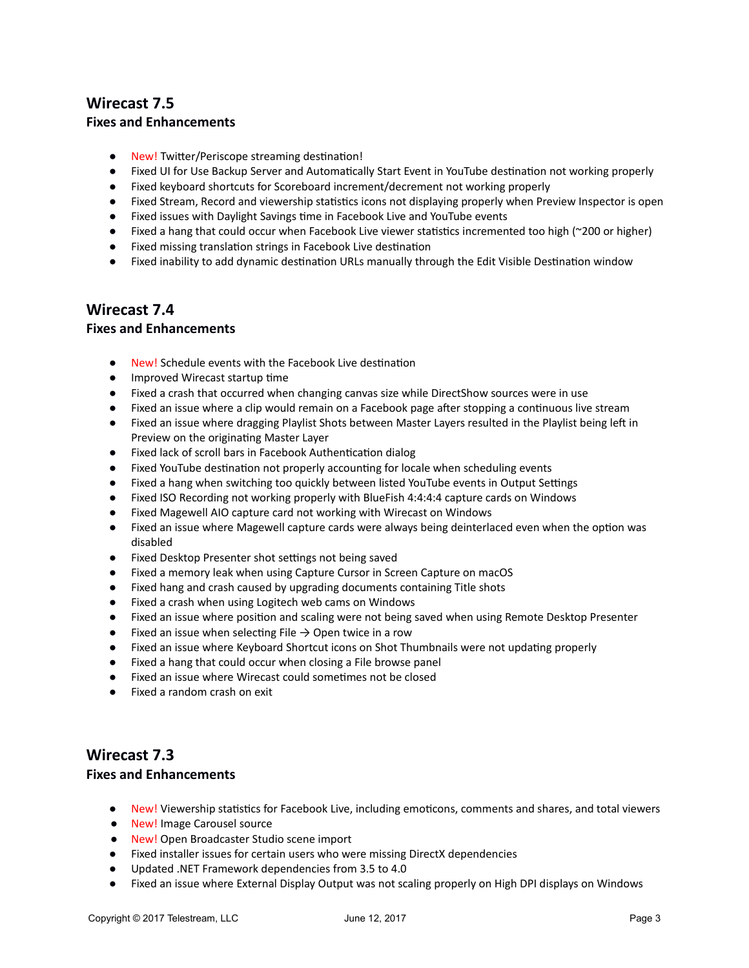## **Wirecast 7.5**

#### **Fixes and Enhancements**

- New! Twitter/Periscope streaming destination!
- Fixed UI for Use Backup Server and Automatically Start Event in YouTube destination not working properly
- Fixed keyboard shortcuts for Scoreboard increment/decrement not working properly
- Fixed Stream, Record and viewership statistics icons not displaying properly when Preview Inspector is open
- Fixed issues with Daylight Savings time in Facebook Live and YouTube events
- Fixed a hang that could occur when Facebook Live viewer statistics incremented too high (~200 or higher)
- Fixed missing translation strings in Facebook Live destination
- Fixed inability to add dynamic destination URLs manually through the Edit Visible Destination window

## **Wirecast 7.4**

#### **Fixes and Enhancements**

- New! Schedule events with the Facebook Live destination
- Improved Wirecast startup time
- Fixed a crash that occurred when changing canvas size while DirectShow sources were in use
- Fixed an issue where a clip would remain on a Facebook page after stopping a continuous live stream
- Fixed an issue where dragging Playlist Shots between Master Layers resulted in the Playlist being left in Preview on the originating Master Layer
- Fixed lack of scroll bars in Facebook Authentication dialog
- Fixed YouTube destination not properly accounting for locale when scheduling events
- Fixed a hang when switching too quickly between listed YouTube events in Output Settings
- Fixed ISO Recording not working properly with BlueFish 4:4:4:4 capture cards on Windows
- Fixed Magewell AIO capture card not working with Wirecast on Windows
- Fixed an issue where Magewell capture cards were always being deinterlaced even when the option was disabled
- Fixed Desktop Presenter shot settings not being saved
- Fixed a memory leak when using Capture Cursor in Screen Capture on macOS
- Fixed hang and crash caused by upgrading documents containing Title shots
- Fixed a crash when using Logitech web cams on Windows
- Fixed an issue where position and scaling were not being saved when using Remote Desktop Presenter
- $\bullet$  Fixed an issue when selecting File  $\rightarrow$  Open twice in a row
- Fixed an issue where Keyboard Shortcut icons on Shot Thumbnails were not updating properly
- Fixed a hang that could occur when closing a File browse panel
- Fixed an issue where Wirecast could sometimes not be closed
- Fixed a random crash on exit

## **Wirecast 7.3**

#### **Fixes and Enhancements**

- New! Viewership statistics for Facebook Live, including emoticons, comments and shares, and total viewers
- New! Image Carousel source
- New! Open Broadcaster Studio scene import
- Fixed installer issues for certain users who were missing DirectX dependencies
- Updated .NET Framework dependencies from 3.5 to 4.0
- Fixed an issue where External Display Output was not scaling properly on High DPI displays on Windows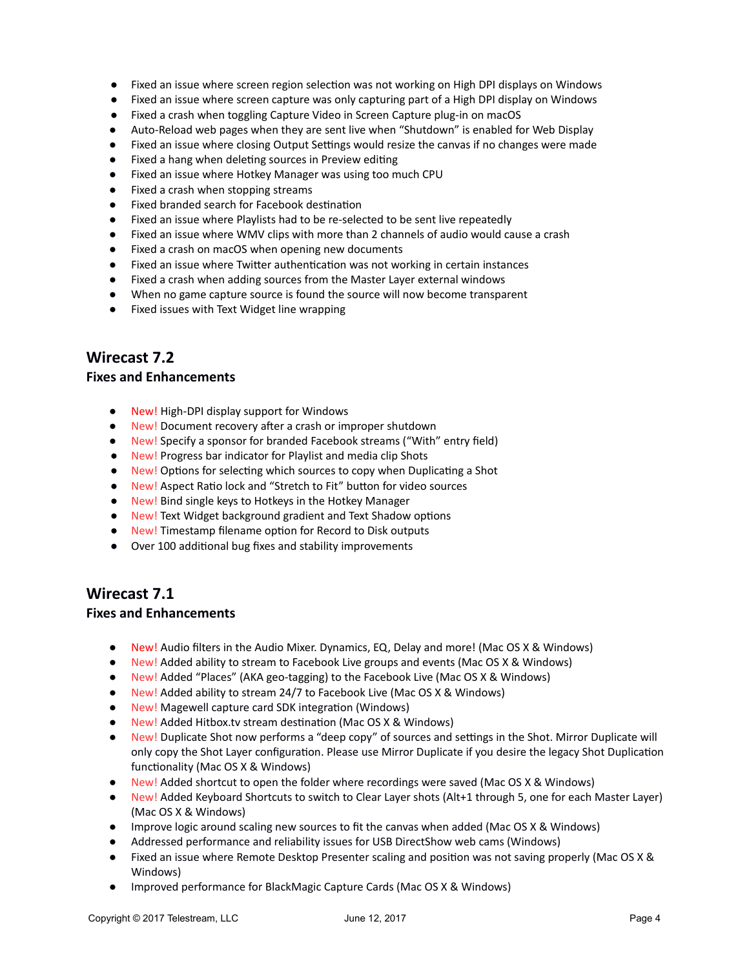- Fixed an issue where screen region selection was not working on High DPI displays on Windows
- Fixed an issue where screen capture was only capturing part of a High DPI display on Windows
- Fixed a crash when toggling Capture Video in Screen Capture plug-in on macOS
- Auto-Reload web pages when they are sent live when "Shutdown" is enabled for Web Display
- Fixed an issue where closing Output Settings would resize the canvas if no changes were made
- Fixed a hang when deleting sources in Preview editing
- Fixed an issue where Hotkey Manager was using too much CPU
- Fixed a crash when stopping streams
- Fixed branded search for Facebook destination
- Fixed an issue where Playlists had to be re-selected to be sent live repeatedly
- Fixed an issue where WMV clips with more than 2 channels of audio would cause a crash
- Fixed a crash on macOS when opening new documents
- Fixed an issue where Twitter authentication was not working in certain instances
- Fixed a crash when adding sources from the Master Layer external windows
- When no game capture source is found the source will now become transparent
- Fixed issues with Text Widget line wrapping

## **Wirecast 7.2**

#### **Fixes and Enhancements**

- New! High-DPI display support for Windows
- New! Document recovery after a crash or improper shutdown
- New! Specify a sponsor for branded Facebook streams ("With" entry field)
- New! Progress bar indicator for Playlist and media clip Shots
- New! Options for selecting which sources to copy when Duplicating a Shot
- New! Aspect Ratio lock and "Stretch to Fit" button for video sources
- New! Bind single keys to Hotkeys in the Hotkey Manager
- New! Text Widget background gradient and Text Shadow options
- New! Timestamp filename option for Record to Disk outputs
- Over 100 additional bug fixes and stability improvements

## **Wirecast 7.1**

#### **Fixes and Enhancements**

- New! Audio filters in the Audio Mixer. Dynamics, EQ, Delay and more! (Mac OS X & Windows)
- New! Added ability to stream to Facebook Live groups and events (Mac OS X & Windows)
- New! Added "Places" (AKA geo-tagging) to the Facebook Live (Mac OS X & Windows)
- New! Added ability to stream 24/7 to Facebook Live (Mac OS X & Windows)
- New! Magewell capture card SDK integration (Windows)
- New! Added Hitbox.tv stream destination (Mac OS X & Windows)
- New! Duplicate Shot now performs a "deep copy" of sources and settings in the Shot. Mirror Duplicate will only copy the Shot Layer configuration. Please use Mirror Duplicate if you desire the legacy Shot Duplication functionality (Mac OS X & Windows)
- New! Added shortcut to open the folder where recordings were saved (Mac OS X & Windows)
- New! Added Keyboard Shortcuts to switch to Clear Layer shots (Alt+1 through 5, one for each Master Layer) (Mac OS X & Windows)
- Improve logic around scaling new sources to fit the canvas when added (Mac OS X & Windows)
- Addressed performance and reliability issues for USB DirectShow web cams (Windows)
- Fixed an issue where Remote Desktop Presenter scaling and position was not saving properly (Mac OS X & Windows)
- Improved performance for BlackMagic Capture Cards (Mac OS X & Windows)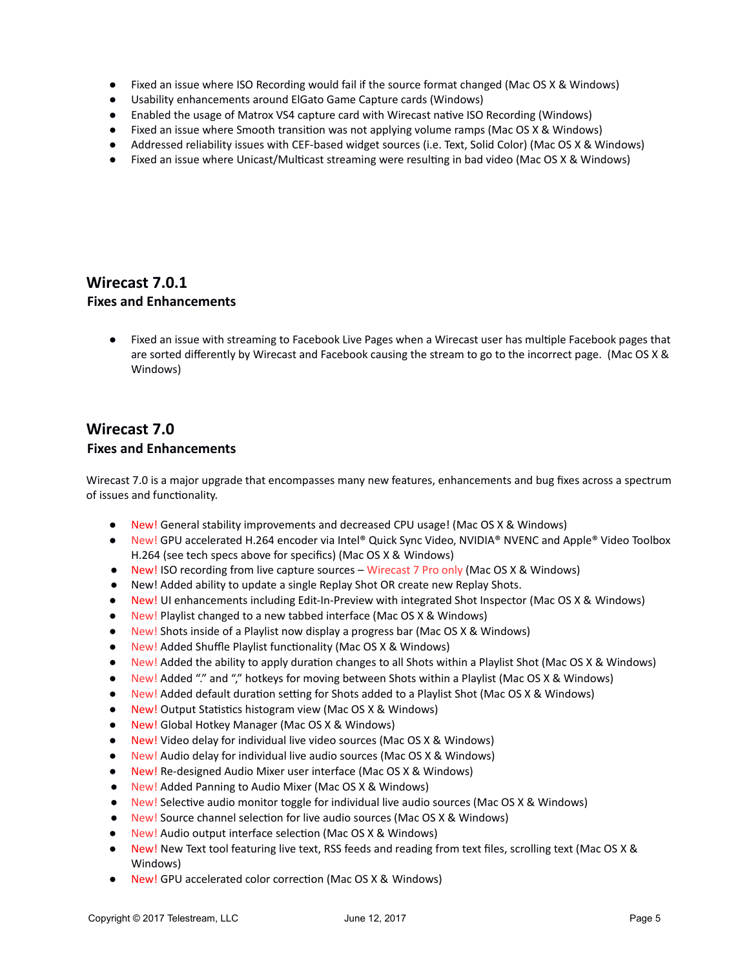- Fixed an issue where ISO Recording would fail if the source format changed (Mac OS X & Windows)
- Usability enhancements around ElGato Game Capture cards (Windows)
- Enabled the usage of Matrox VS4 capture card with Wirecast native ISO Recording (Windows)
- Fixed an issue where Smooth transition was not applying volume ramps (Mac OS X & Windows)
- Addressed reliability issues with CEF-based widget sources (i.e. Text, Solid Color) (Mac OS X & Windows)
- Fixed an issue where Unicast/Multicast streaming were resulting in bad video (Mac OS X & Windows)

## **Wirecast 7.0.1 Fixes and Enhancements**

● Fixed an issue with streaming to Facebook Live Pages when a Wirecast user has multiple Facebook pages that are sorted differently by Wirecast and Facebook causing the stream to go to the incorrect page. (Mac OS X & Windows)

# **Wirecast 7.0**

## **Fixes and Enhancements**

Wirecast 7.0 is a major upgrade that encompasses many new features, enhancements and bug fixes across a spectrum of issues and functionality.

- New! General stability improvements and decreased CPU usage! (Mac OS X & Windows)
- New! GPU accelerated H.264 encoder via Intel® Quick Sync Video, NVIDIA® NVENC and Apple® Video Toolbox H.264 (see tech specs above for specifics) (Mac OS X & Windows)
- New! ISO recording from live capture sources Wirecast 7 Pro only (Mac OS X & Windows)
- New! Added ability to update a single Replay Shot OR create new Replay Shots.
- New! UI enhancements including Edit-In-Preview with integrated Shot Inspector (Mac OS X & Windows)
- New! Playlist changed to a new tabbed interface (Mac OS X & Windows)
- New! Shots inside of a Playlist now display a progress bar (Mac OS X & Windows)
- New! Added Shuffle Playlist functionality (Mac OS X & Windows)
- New! Added the ability to apply duration changes to all Shots within a Playlist Shot (Mac OS X & Windows)
- New! Added "." and "," hotkeys for moving between Shots within a Playlist (Mac OS X & Windows)
- New! Added default duration setting for Shots added to a Playlist Shot (Mac OS X & Windows)
- New! Output Statistics histogram view (Mac OS X & Windows)
- New! Global Hotkey Manager (Mac OS X & Windows)
- New! Video delay for individual live video sources (Mac OS X & Windows)
- New! Audio delay for individual live audio sources (Mac OS X & Windows)
- New! Re-designed Audio Mixer user interface (Mac OS X & Windows)
- New! Added Panning to Audio Mixer (Mac OS X & Windows)
- New! Selective audio monitor toggle for individual live audio sources (Mac OS X & Windows)
- New! Source channel selection for live audio sources (Mac OS X & Windows)
- New! Audio output interface selection (Mac OS X & Windows)
- New! New Text tool featuring live text, RSS feeds and reading from text files, scrolling text (Mac OS X & Windows)
- New! GPU accelerated color correction (Mac OS X & Windows)